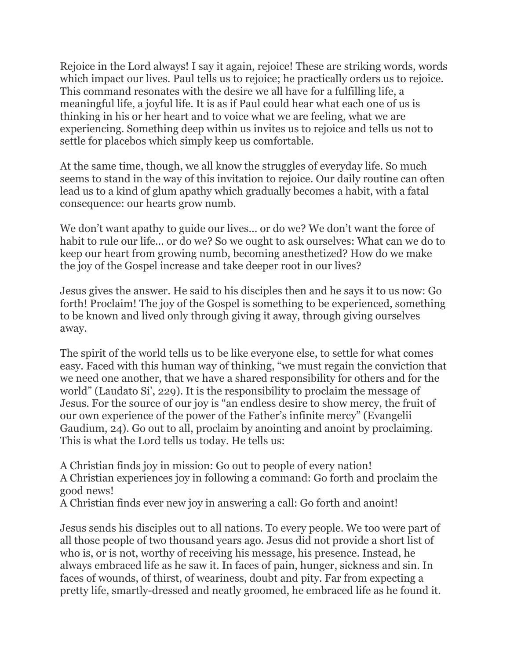Rejoice in the Lord always! I say it again, rejoice! These are striking words, words which impact our lives. Paul tells us to rejoice; he practically orders us to rejoice. This command resonates with the desire we all have for a fulfilling life, a meaningful life, a joyful life. It is as if Paul could hear what each one of us is thinking in his or her heart and to voice what we are feeling, what we are experiencing. Something deep within us invites us to rejoice and tells us not to settle for placebos which simply keep us comfortable.

At the same time, though, we all know the struggles of everyday life. So much seems to stand in the way of this invitation to rejoice. Our daily routine can often lead us to a kind of glum apathy which gradually becomes a habit, with a fatal consequence: our hearts grow numb.

We don't want apathy to guide our lives... or do we? We don't want the force of habit to rule our life... or do we? So we ought to ask ourselves: What can we do to keep our heart from growing numb, becoming anesthetized? How do we make the joy of the Gospel increase and take deeper root in our lives?

Jesus gives the answer. He said to his disciples then and he says it to us now: Go forth! Proclaim! The joy of the Gospel is something to be experienced, something to be known and lived only through giving it away, through giving ourselves away.

The spirit of the world tells us to be like everyone else, to settle for what comes easy. Faced with this human way of thinking, "we must regain the conviction that we need one another, that we have a shared responsibility for others and for the world" (Laudato Si', 229). It is the responsibility to proclaim the message of Jesus. For the source of our joy is "an endless desire to show mercy, the fruit of our own experience of the power of the Father's infinite mercy" (Evangelii Gaudium, 24). Go out to all, proclaim by anointing and anoint by proclaiming. This is what the Lord tells us today. He tells us:

A Christian finds joy in mission: Go out to people of every nation!

A Christian experiences joy in following a command: Go forth and proclaim the good news!

A Christian finds ever new joy in answering a call: Go forth and anoint!

Jesus sends his disciples out to all nations. To every people. We too were part of all those people of two thousand years ago. Jesus did not provide a short list of who is, or is not, worthy of receiving his message, his presence. Instead, he always embraced life as he saw it. In faces of pain, hunger, sickness and sin. In faces of wounds, of thirst, of weariness, doubt and pity. Far from expecting a pretty life, smartly-dressed and neatly groomed, he embraced life as he found it.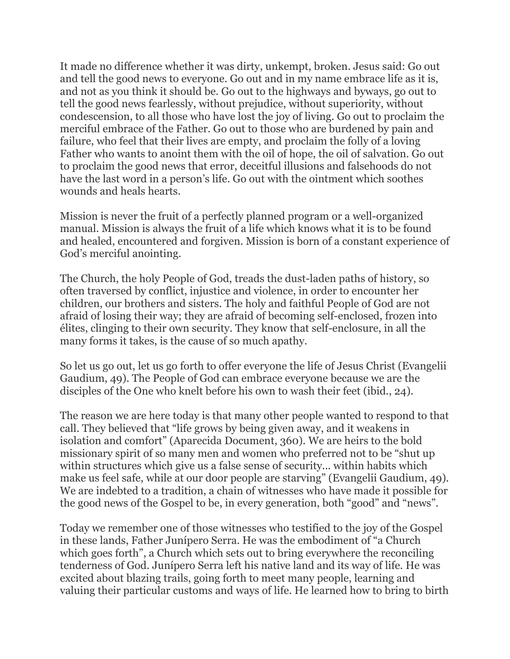It made no difference whether it was dirty, unkempt, broken. Jesus said: Go out and tell the good news to everyone. Go out and in my name embrace life as it is, and not as you think it should be. Go out to the highways and byways, go out to tell the good news fearlessly, without prejudice, without superiority, without condescension, to all those who have lost the joy of living. Go out to proclaim the merciful embrace of the Father. Go out to those who are burdened by pain and failure, who feel that their lives are empty, and proclaim the folly of a loving Father who wants to anoint them with the oil of hope, the oil of salvation. Go out to proclaim the good news that error, deceitful illusions and falsehoods do not have the last word in a person's life. Go out with the ointment which soothes wounds and heals hearts.

Mission is never the fruit of a perfectly planned program or a well-organized manual. Mission is always the fruit of a life which knows what it is to be found and healed, encountered and forgiven. Mission is born of a constant experience of God's merciful anointing.

The Church, the holy People of God, treads the dust-laden paths of history, so often traversed by conflict, injustice and violence, in order to encounter her children, our brothers and sisters. The holy and faithful People of God are not afraid of losing their way; they are afraid of becoming self-enclosed, frozen into élites, clinging to their own security. They know that self-enclosure, in all the many forms it takes, is the cause of so much apathy.

So let us go out, let us go forth to offer everyone the life of Jesus Christ (Evangelii Gaudium, 49). The People of God can embrace everyone because we are the disciples of the One who knelt before his own to wash their feet (ibid., 24).

The reason we are here today is that many other people wanted to respond to that call. They believed that "life grows by being given away, and it weakens in isolation and comfort" (Aparecida Document, 360). We are heirs to the bold missionary spirit of so many men and women who preferred not to be "shut up within structures which give us a false sense of security... within habits which make us feel safe, while at our door people are starving" (Evangelii Gaudium, 49). We are indebted to a tradition, a chain of witnesses who have made it possible for the good news of the Gospel to be, in every generation, both "good" and "news".

Today we remember one of those witnesses who testified to the joy of the Gospel in these lands, Father Junípero Serra. He was the embodiment of "a Church which goes forth", a Church which sets out to bring everywhere the reconciling tenderness of God. Junípero Serra left his native land and its way of life. He was excited about blazing trails, going forth to meet many people, learning and valuing their particular customs and ways of life. He learned how to bring to birth